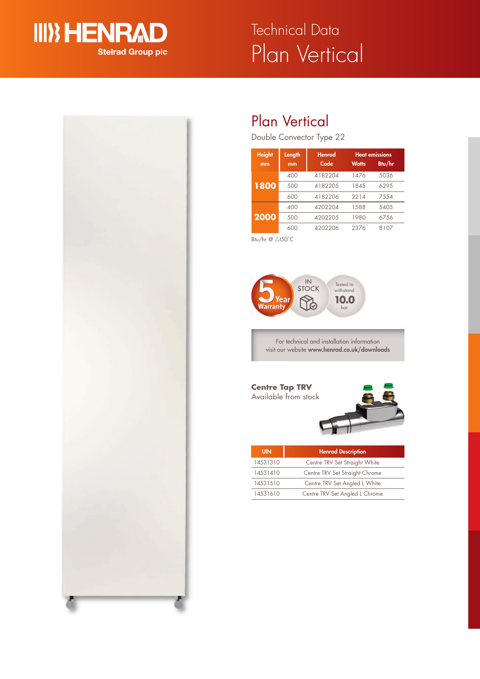

# Plan Vertical Technical Data



## Plan Vertical

Double Convector Type 22

| <b>Height</b><br>mm | Length<br>mm | <b>Henrad</b><br>Code | <b>Watts</b> | <b>Heat emissions</b><br>Btu/hr |
|---------------------|--------------|-----------------------|--------------|---------------------------------|
| 1800                | 400          | 4182204               | 1476         | 5036                            |
|                     | 500          | 4182205               | 1845         | 629.5                           |
|                     | 600          | 4182206               | 2214         | 7554                            |
| 2000                | 400          | 4202204               | 1588         | 5405                            |
|                     | 500          | 4202205               | 1980         | 6756                            |
|                     | 600          | 4202206               | 2376         | 8107                            |

Btu/hr @ ∆t50°C



For technical and installation information visit our website **www.henrad.co.uk/downloads**

**Centre Tap TRV** Available from stock



| <b>UIN</b> | <b>Henrad Description</b>      |
|------------|--------------------------------|
| 14531310   | Centre TRV Set Straight White  |
| 14531410   | Centre TRV Set Straight Chrome |
| 14531510   | Centre TRV Set Angled L White  |
| 14531610   | Centre TRV Set Angled L Chrome |